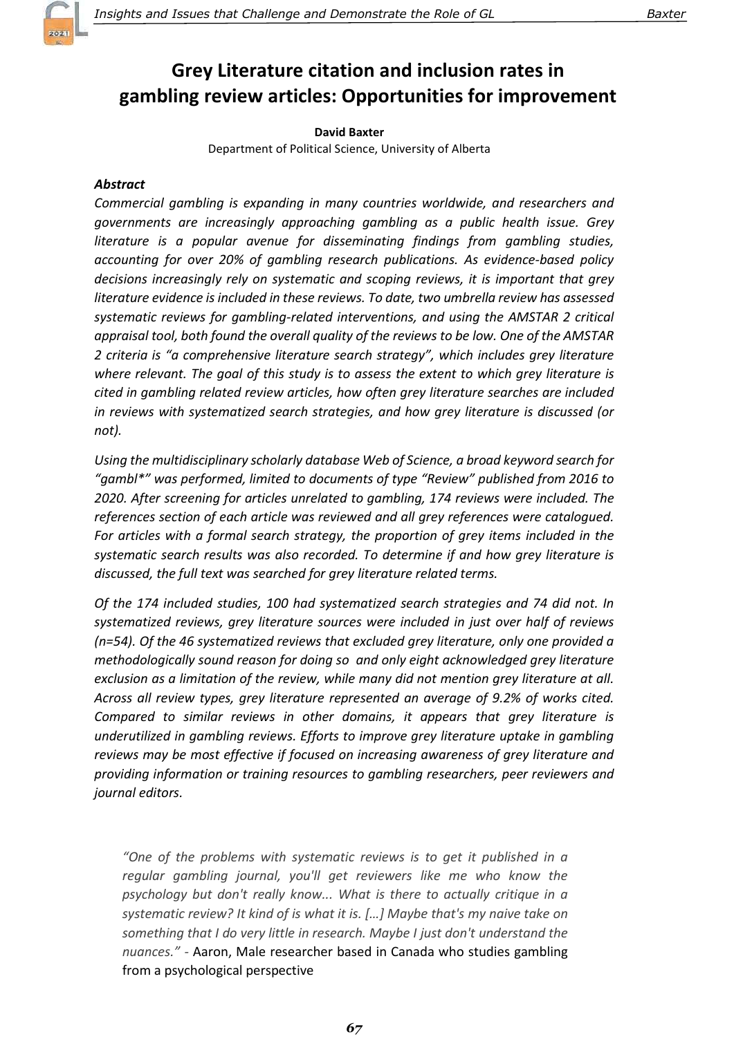

# Grey Literature citation and inclusion rates in gambling review articles: Opportunities for improvement

David Baxter

Department of Political Science, University of Alberta

#### Abstract

Commercial gambling is expanding in many countries worldwide, and researchers and governments are increasingly approaching gambling as a public health issue. Grey literature is a popular avenue for disseminating findings from gambling studies, accounting for over 20% of gambling research publications. As evidence-based policy decisions increasingly rely on systematic and scoping reviews, it is important that grey literature evidence is included in these reviews. To date, two umbrella review has assessed systematic reviews for gambling-related interventions, and using the AMSTAR 2 critical appraisal tool, both found the overall quality of the reviews to be low. One of the AMSTAR 2 criteria is "a comprehensive literature search strategy", which includes grey literature where relevant. The goal of this study is to assess the extent to which grey literature is cited in gambling related review articles, how often grey literature searches are included in reviews with systematized search strategies, and how grey literature is discussed (or not).

Using the multidisciplinary scholarly database Web of Science, a broad keyword search for "gambl\*" was performed, limited to documents of type "Review" published from 2016 to 2020. After screening for articles unrelated to gambling, 174 reviews were included. The references section of each article was reviewed and all grey references were catalogued. For articles with a formal search strategy, the proportion of grey items included in the systematic search results was also recorded. To determine if and how grey literature is discussed, the full text was searched for grey literature related terms.

Of the 174 included studies, 100 had systematized search strategies and 74 did not. In systematized reviews, grey literature sources were included in just over half of reviews (n=54). Of the 46 systematized reviews that excluded grey literature, only one provided a methodologically sound reason for doing so and only eight acknowledged grey literature exclusion as a limitation of the review, while many did not mention grey literature at all. Across all review types, grey literature represented an average of 9.2% of works cited. Compared to similar reviews in other domains, it appears that grey literature is underutilized in gambling reviews. Efforts to improve grey literature uptake in gambling reviews may be most effective if focused on increasing awareness of grey literature and providing information or training resources to gambling researchers, peer reviewers and journal editors.

"One of the problems with systematic reviews is to get it published in a regular gambling journal, you'll get reviewers like me who know the psychology but don't really know... What is there to actually critique in a systematic review? It kind of is what it is. […] Maybe that's my naive take on something that I do very little in research. Maybe I just don't understand the nuances." - Aaron, Male researcher based in Canada who studies gambling from a psychological perspective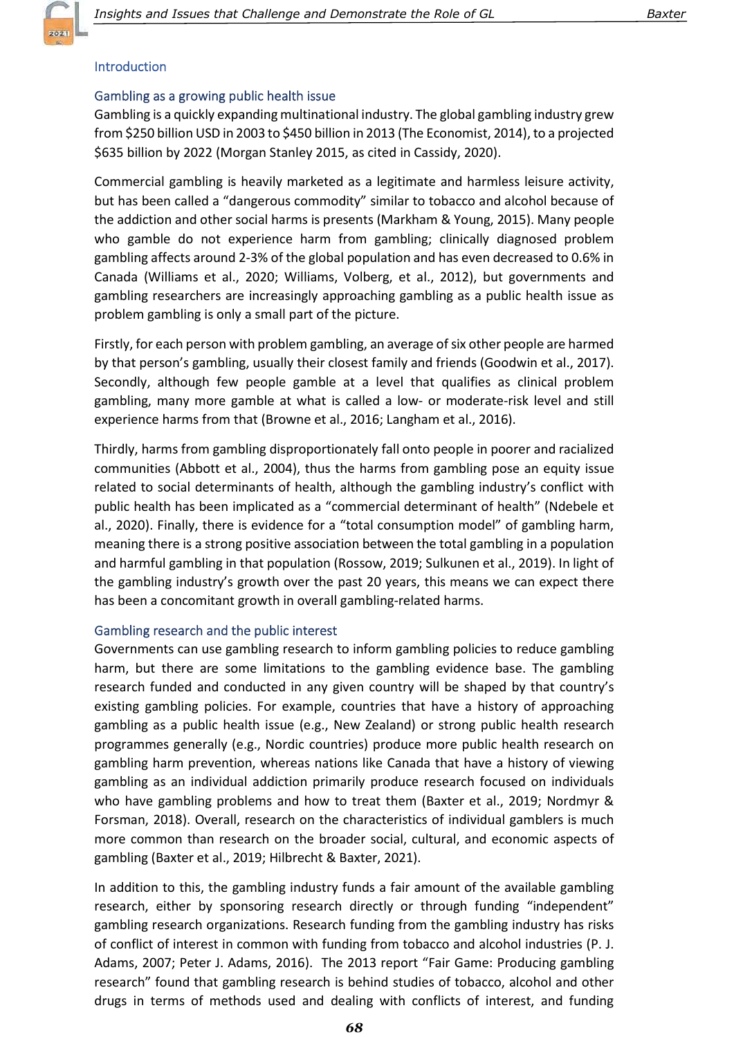

# **Introduction**

# Gambling as a growing public health issue

Gambling is a quickly expanding multinational industry. The global gambling industry grew from \$250 billion USD in 2003 to \$450 billion in 2013 (The Economist, 2014), to a projected \$635 billion by 2022 (Morgan Stanley 2015, as cited in Cassidy, 2020).

Commercial gambling is heavily marketed as a legitimate and harmless leisure activity, but has been called a "dangerous commodity" similar to tobacco and alcohol because of the addiction and other social harms is presents (Markham & Young, 2015). Many people who gamble do not experience harm from gambling; clinically diagnosed problem gambling affects around 2-3% of the global population and has even decreased to 0.6% in Canada (Williams et al., 2020; Williams, Volberg, et al., 2012), but governments and gambling researchers are increasingly approaching gambling as a public health issue as problem gambling is only a small part of the picture.

Firstly, for each person with problem gambling, an average of six other people are harmed by that person's gambling, usually their closest family and friends (Goodwin et al., 2017). Secondly, although few people gamble at a level that qualifies as clinical problem gambling, many more gamble at what is called a low- or moderate-risk level and still experience harms from that (Browne et al., 2016; Langham et al., 2016).

Thirdly, harms from gambling disproportionately fall onto people in poorer and racialized communities (Abbott et al., 2004), thus the harms from gambling pose an equity issue related to social determinants of health, although the gambling industry's conflict with public health has been implicated as a "commercial determinant of health" (Ndebele et al., 2020). Finally, there is evidence for a "total consumption model" of gambling harm, meaning there is a strong positive association between the total gambling in a population and harmful gambling in that population (Rossow, 2019; Sulkunen et al., 2019). In light of the gambling industry's growth over the past 20 years, this means we can expect there has been a concomitant growth in overall gambling-related harms.

# Gambling research and the public interest

Governments can use gambling research to inform gambling policies to reduce gambling harm, but there are some limitations to the gambling evidence base. The gambling research funded and conducted in any given country will be shaped by that country's existing gambling policies. For example, countries that have a history of approaching gambling as a public health issue (e.g., New Zealand) or strong public health research programmes generally (e.g., Nordic countries) produce more public health research on gambling harm prevention, whereas nations like Canada that have a history of viewing gambling as an individual addiction primarily produce research focused on individuals who have gambling problems and how to treat them (Baxter et al., 2019; Nordmyr & Forsman, 2018). Overall, research on the characteristics of individual gamblers is much more common than research on the broader social, cultural, and economic aspects of gambling (Baxter et al., 2019; Hilbrecht & Baxter, 2021).

In addition to this, the gambling industry funds a fair amount of the available gambling research, either by sponsoring research directly or through funding "independent" gambling research organizations. Research funding from the gambling industry has risks of conflict of interest in common with funding from tobacco and alcohol industries (P. J. Adams, 2007; Peter J. Adams, 2016). The 2013 report "Fair Game: Producing gambling research" found that gambling research is behind studies of tobacco, alcohol and other drugs in terms of methods used and dealing with conflicts of interest, and funding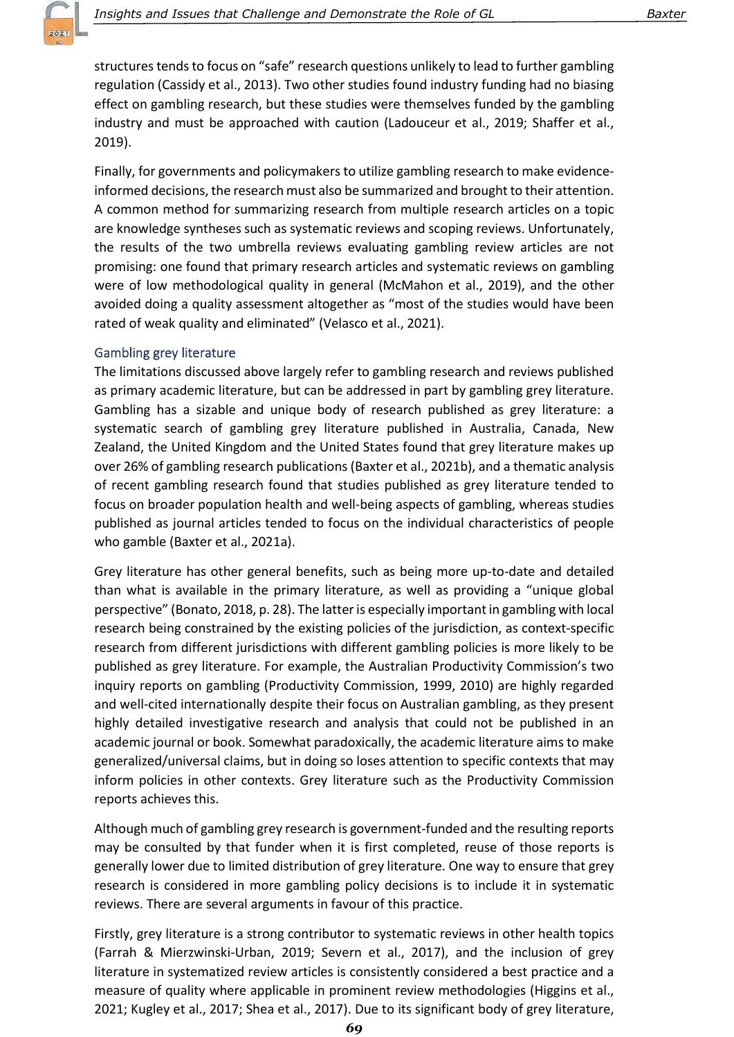

structures tends to focus on "safe" research questions unlikely to lead to further gambling regulation (Cassidy et al., 2013). Two other studies found industry funding had no biasing effect on gambling research, but these studies were themselves funded by the gambling industry and must be approached with caution (Ladouceur et al., 2019; Shaffer et al., 2019).

Finally, for governments and policymakers to utilize gambling research to make evidenceinformed decisions, the research must also be summarized and brought to their attention. A common method for summarizing research from multiple research articles on a topic are knowledge syntheses such as systematic reviews and scoping reviews. Unfortunately, the results of the two umbrella reviews evaluating gambling review articles are not promising: one found that primary research articles and systematic reviews on gambling were of low methodological quality in general (McMahon et al., 2019), and the other avoided doing a quality assessment altogether as "most of the studies would have been rated of weak quality and eliminated" (Velasco et al., 2021).

#### **Gambling grey literature**

The limitations discussed above largely refer to gambling research and reviews published as primary academic literature, but can be addressed in part by gambling grey literature. Gambling has a sizable and unique body of research published as grey literature: a systematic search of gambling grey literature published in Australia, Canada, New Zealand, the United Kingdom and the United States found that grey literature makes up over 26% of gambling research publications (Baxter et al., 2021b), and a thematic analysis of recent gambling research found that studies published as grey literature tended to focus on broader population health and well-being aspects of gambling, whereas studies published as journal articles tended to focus on the individual characteristics of people who gamble (Baxter et al., 2021a).

Grey literature has other general benefits, such as being more up-to-date and detailed than what is available in the primary literature, as well as providing a "unique global perspective" (Bonato, 2018, p. 28). The latter is especially important in gambling with local research being constrained by the existing policies of the jurisdiction, as context-specific research from different jurisdictions with different gambling policies is more likely to be published as grey literature. For example, the Australian Productivity Commission's two inquiry reports on gambling (Productivity Commission, 1999, 2010) are highly regarded and well-cited internationally despite their focus on Australian gambling, as they present highly detailed investigative research and analysis that could not be published in an academic journal or book. Somewhat paradoxically, the academic literature aims to make generalized/universal claims, but in doing so loses attention to specific contexts that may inform policies in other contexts. Grey literature such as the Productivity Commission reports achieves this.

Although much of gambling grey research is government-funded and the resulting reports may be consulted by that funder when it is first completed, reuse of those reports is generally lower due to limited distribution of grey literature. One way to ensure that grey research is considered in more gambling policy decisions is to include it in systematic reviews. There are several arguments in favour of this practice.

Firstly, grey literature is a strong contributor to systematic reviews in other health topics (Farrah & Mierzwinski-Urban, 2019; Severn et al., 2017), and the inclusion of grey literature in systematized review articles is consistently considered a best practice and a measure of quality where applicable in prominent review methodologies (Higgins et al., 2021; Kugley et al., 2017; Shea et al., 2017). Due to its significant body of grey literature,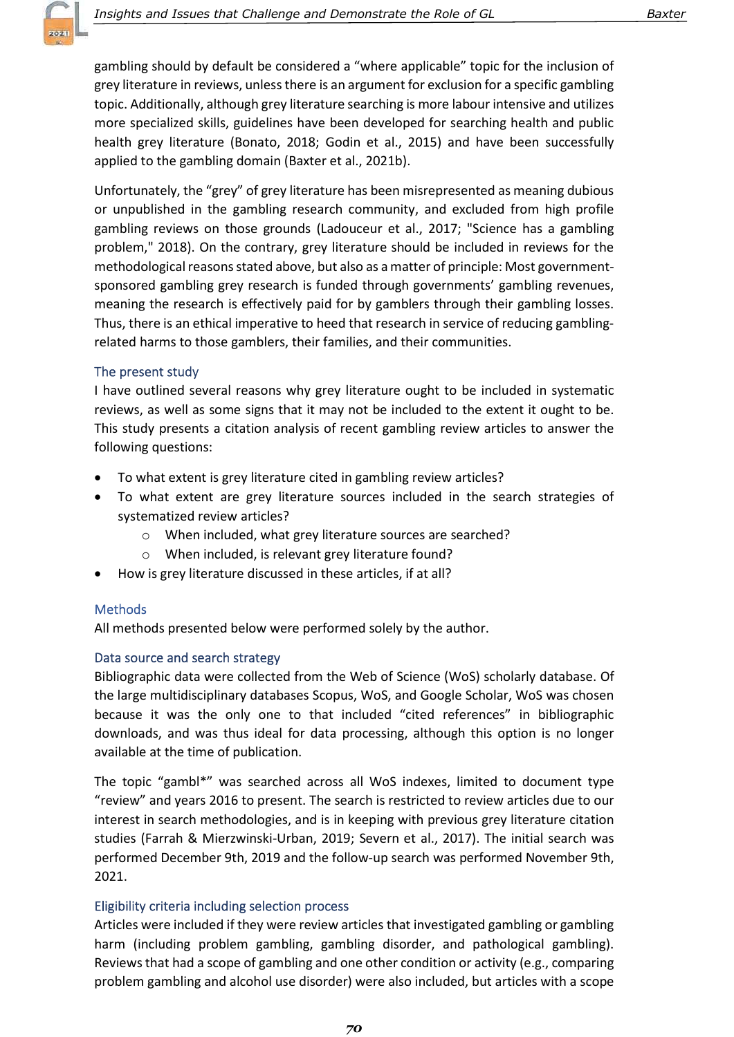gambling should by default be considered a "where applicable" topic for the inclusion of grey literature in reviews, unless there is an argument for exclusion for a specific gambling topic. Additionally, although grey literature searching is more labour intensive and utilizes more specialized skills, guidelines have been developed for searching health and public health grey literature (Bonato, 2018; Godin et al., 2015) and have been successfully applied to the gambling domain (Baxter et al., 2021b).

Unfortunately, the "grey" of grey literature has been misrepresented as meaning dubious or unpublished in the gambling research community, and excluded from high profile gambling reviews on those grounds (Ladouceur et al., 2017; "Science has a gambling problem," 2018). On the contrary, grey literature should be included in reviews for the methodological reasons stated above, but also as a matter of principle: Most governmentsponsored gambling grey research is funded through governments' gambling revenues, meaning the research is effectively paid for by gamblers through their gambling losses. Thus, there is an ethical imperative to heed that research in service of reducing gamblingrelated harms to those gamblers, their families, and their communities.

### The present study

I have outlined several reasons why grey literature ought to be included in systematic reviews, as well as some signs that it may not be included to the extent it ought to be. This study presents a citation analysis of recent gambling review articles to answer the following questions:

- To what extent is grey literature cited in gambling review articles?
- To what extent are grey literature sources included in the search strategies of systematized review articles?
	- o When included, what grey literature sources are searched?
	- o When included, is relevant grey literature found?
- How is grey literature discussed in these articles, if at all?

### **Methods**

All methods presented below were performed solely by the author.

### Data source and search strategy

Bibliographic data were collected from the Web of Science (WoS) scholarly database. Of the large multidisciplinary databases Scopus, WoS, and Google Scholar, WoS was chosen because it was the only one to that included "cited references" in bibliographic downloads, and was thus ideal for data processing, although this option is no longer available at the time of publication.

The topic "gambl\*" was searched across all WoS indexes, limited to document type "review" and years 2016 to present. The search is restricted to review articles due to our interest in search methodologies, and is in keeping with previous grey literature citation studies (Farrah & Mierzwinski-Urban, 2019; Severn et al., 2017). The initial search was performed December 9th, 2019 and the follow-up search was performed November 9th, 2021.

### Eligibility criteria including selection process

Articles were included if they were review articles that investigated gambling or gambling harm (including problem gambling, gambling disorder, and pathological gambling). Reviews that had a scope of gambling and one other condition or activity (e.g., comparing problem gambling and alcohol use disorder) were also included, but articles with a scope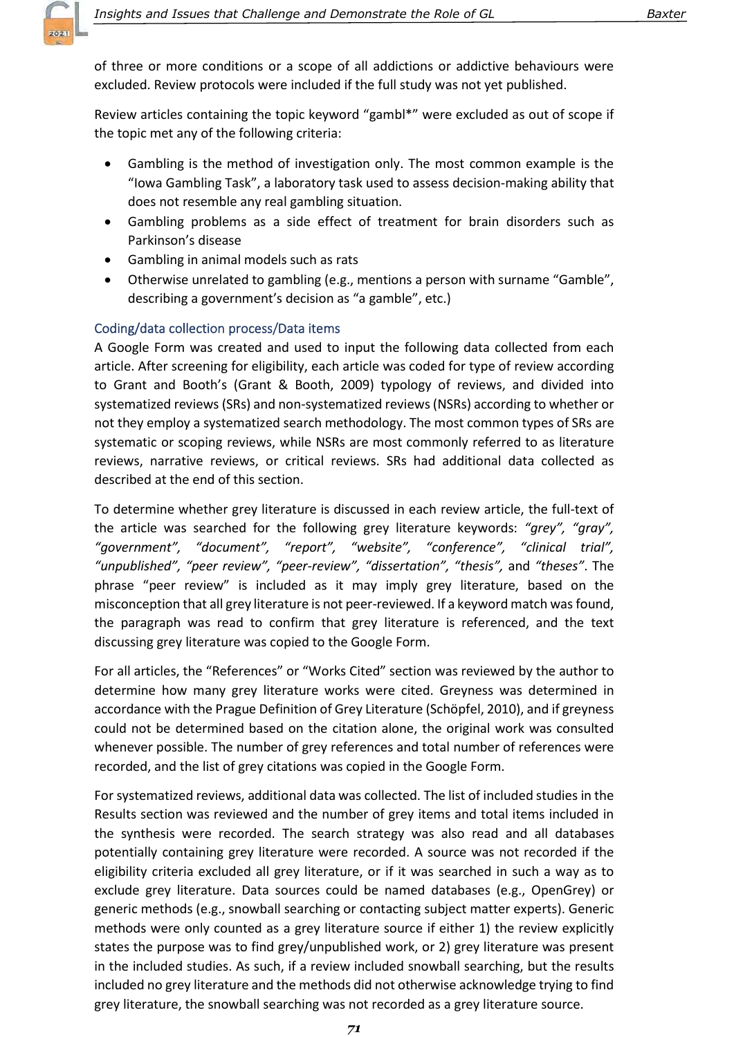

of three or more conditions or a scope of all addictions or addictive behaviours were excluded. Review protocols were included if the full study was not yet published.

Review articles containing the topic keyword "gambl\*" were excluded as out of scope if the topic met any of the following criteria:

- Gambling is the method of investigation only. The most common example is the "Iowa Gambling Task", a laboratory task used to assess decision-making ability that does not resemble any real gambling situation.
- Gambling problems as a side effect of treatment for brain disorders such as Parkinson's disease
- Gambling in animal models such as rats
- Otherwise unrelated to gambling (e.g., mentions a person with surname "Gamble", describing a government's decision as "a gamble", etc.)

### Coding/data collection process/Data items

A Google Form was created and used to input the following data collected from each article. After screening for eligibility, each article was coded for type of review according to Grant and Booth's (Grant & Booth, 2009) typology of reviews, and divided into systematized reviews (SRs) and non-systematized reviews (NSRs) according to whether or not they employ a systematized search methodology. The most common types of SRs are systematic or scoping reviews, while NSRs are most commonly referred to as literature reviews, narrative reviews, or critical reviews. SRs had additional data collected as described at the end of this section.

To determine whether grey literature is discussed in each review article, the full-text of the article was searched for the following grey literature keywords: "grey", "gray", "government", "document", "report", "website", "conference", "clinical trial", "unpublished", "peer review", "peer-review", "dissertation", "thesis", and "theses". The phrase "peer review" is included as it may imply grey literature, based on the misconception that all grey literature is not peer-reviewed. If a keyword match was found, the paragraph was read to confirm that grey literature is referenced, and the text discussing grey literature was copied to the Google Form.

For all articles, the "References" or "Works Cited" section was reviewed by the author to determine how many grey literature works were cited. Greyness was determined in accordance with the Prague Definition of Grey Literature (Schöpfel, 2010), and if greyness could not be determined based on the citation alone, the original work was consulted whenever possible. The number of grey references and total number of references were recorded, and the list of grey citations was copied in the Google Form.

For systematized reviews, additional data was collected. The list of included studies in the Results section was reviewed and the number of grey items and total items included in the synthesis were recorded. The search strategy was also read and all databases potentially containing grey literature were recorded. A source was not recorded if the eligibility criteria excluded all grey literature, or if it was searched in such a way as to exclude grey literature. Data sources could be named databases (e.g., OpenGrey) or generic methods (e.g., snowball searching or contacting subject matter experts). Generic methods were only counted as a grey literature source if either 1) the review explicitly states the purpose was to find grey/unpublished work, or 2) grey literature was present in the included studies. As such, if a review included snowball searching, but the results included no grey literature and the methods did not otherwise acknowledge trying to find grey literature, the snowball searching was not recorded as a grey literature source.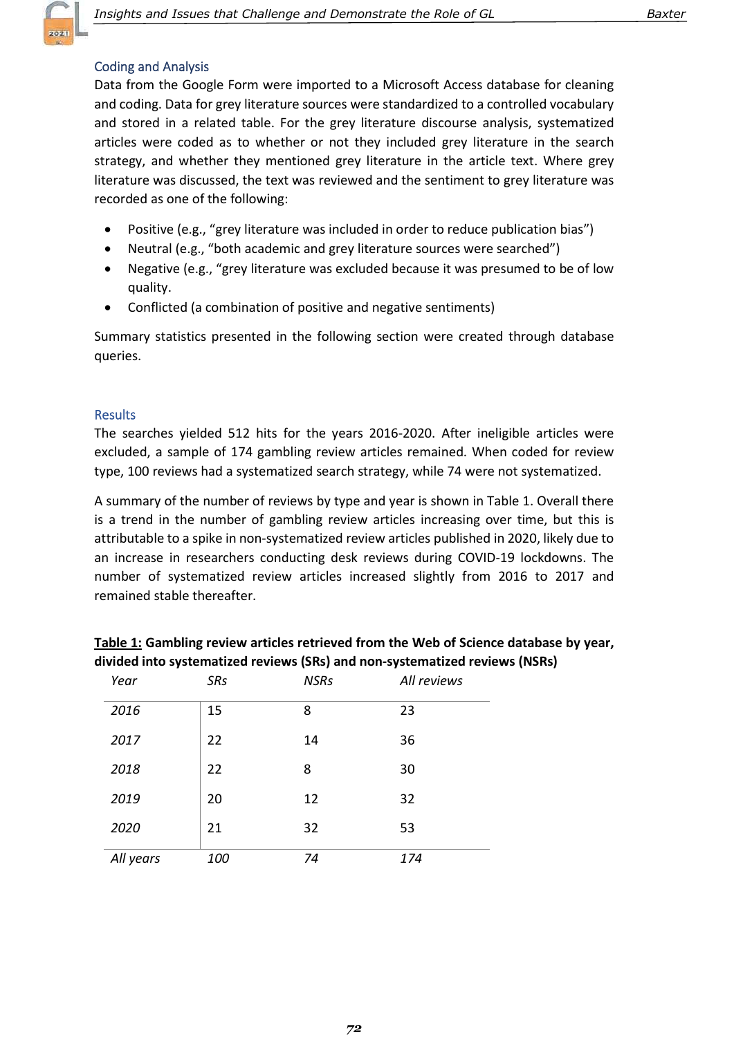

### **Coding and Analysis**

Data from the Google Form were imported to a Microsoft Access database for cleaning and coding. Data for grey literature sources were standardized to a controlled vocabulary and stored in a related table. For the grey literature discourse analysis, systematized articles were coded as to whether or not they included grey literature in the search strategy, and whether they mentioned grey literature in the article text. Where grey literature was discussed, the text was reviewed and the sentiment to grey literature was recorded as one of the following:

- Positive (e.g., "grey literature was included in order to reduce publication bias")
- Neutral (e.g., "both academic and grey literature sources were searched")
- Negative (e.g., "grey literature was excluded because it was presumed to be of low quality.
- Conflicted (a combination of positive and negative sentiments)

Summary statistics presented in the following section were created through database queries.

#### **Results**

The searches yielded 512 hits for the years 2016-2020. After ineligible articles were excluded, a sample of 174 gambling review articles remained. When coded for review type, 100 reviews had a systematized search strategy, while 74 were not systematized.

A summary of the number of reviews by type and year is shown in Table 1. Overall there is a trend in the number of gambling review articles increasing over time, but this is attributable to a spike in non-systematized review articles published in 2020, likely due to an increase in researchers conducting desk reviews during COVID-19 lockdowns. The number of systematized review articles increased slightly from 2016 to 2017 and remained stable thereafter.

| Year      | SRs | <b>NSRs</b> | All reviews |
|-----------|-----|-------------|-------------|
| 2016      | 15  | 8           | 23          |
| 2017      | 22  | 14          | 36          |
| 2018      | 22  | 8           | 30          |
| 2019      | 20  | 12          | 32          |
| 2020      | 21  | 32          | 53          |
| All years | 100 | 74          | 174         |

Table 1: Gambling review articles retrieved from the Web of Science database by year, divided into systematized reviews (SRs) and non-systematized reviews (NSRs)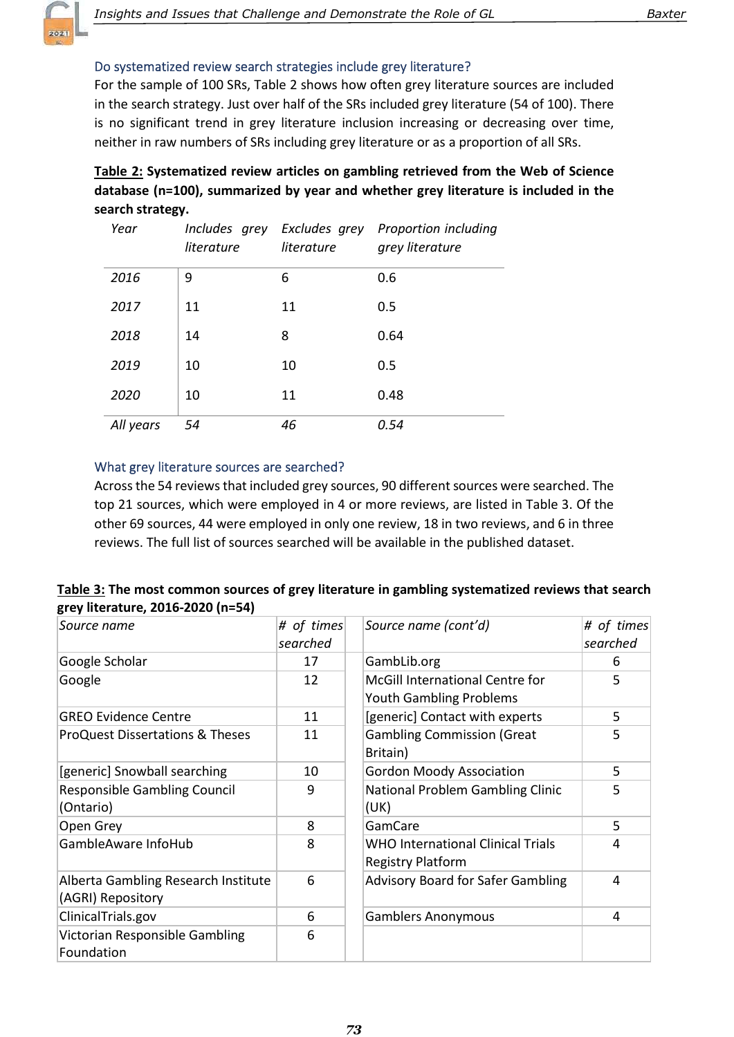# Do systematized review search strategies include grey literature?

For the sample of 100 SRs, Table 2 shows how often grey literature sources are included in the search strategy. Just over half of the SRs included grey literature (54 of 100). There is no significant trend in grey literature inclusion increasing or decreasing over time, neither in raw numbers of SRs including grey literature or as a proportion of all SRs.

| Table 2: Systematized review articles on gambling retrieved from the Web of Science |
|-------------------------------------------------------------------------------------|
| database (n=100), summarized by year and whether grey literature is included in the |
| search strategy.                                                                    |

| Year      | literature | literature | Includes grey Excludes grey Proportion including<br>grey literature |
|-----------|------------|------------|---------------------------------------------------------------------|
| 2016      | 9          | 6          | 0.6                                                                 |
| 2017      | 11         | 11         | 0.5                                                                 |
| 2018      | 14         | 8          | 0.64                                                                |
| 2019      | 10         | 10         | 0.5                                                                 |
| 2020      | 10         | 11         | 0.48                                                                |
| All years | 54         | 46         | 0.54                                                                |

#### What grey literature sources are searched?

Across the 54 reviews that included grey sources, 90 different sources were searched. The top 21 sources, which were employed in 4 or more reviews, are listed in Table 3. Of the other 69 sources, 44 were employed in only one review, 18 in two reviews, and 6 in three reviews. The full list of sources searched will be available in the published dataset.

| Table 3: The most common sources of grey literature in gambling systematized reviews that search |  |
|--------------------------------------------------------------------------------------------------|--|
| grey literature, 2016-2020 (n=54)                                                                |  |

| Source name                                              | # of times<br>searched | Source name (cont'd)                                                     | # of times<br>searched |
|----------------------------------------------------------|------------------------|--------------------------------------------------------------------------|------------------------|
| Google Scholar                                           | 17                     | GambLib.org                                                              | 6                      |
| Google                                                   | 12                     | <b>McGill International Centre for</b><br><b>Youth Gambling Problems</b> | 5                      |
| <b>GREO Evidence Centre</b>                              | 11                     | [generic] Contact with experts                                           | 5                      |
| <b>ProQuest Dissertations &amp; Theses</b>               | 11                     | <b>Gambling Commission (Great</b><br>Britain)                            | 5                      |
| [generic] Snowball searching                             | 10                     | <b>Gordon Moody Association</b>                                          | 5                      |
| <b>Responsible Gambling Council</b><br>(Ontario)         | 9                      | National Problem Gambling Clinic<br>(UK)                                 | 5                      |
| Open Grey                                                | 8                      | GamCare                                                                  | 5                      |
| GambleAware InfoHub                                      | 8                      | <b>WHO International Clinical Trials</b><br><b>Registry Platform</b>     | 4                      |
| Alberta Gambling Research Institute<br>(AGRI) Repository | 6                      | <b>Advisory Board for Safer Gambling</b>                                 | 4                      |
| ClinicalTrials.gov                                       | 6                      | <b>Gamblers Anonymous</b>                                                | 4                      |
| Victorian Responsible Gambling<br>Foundation             | 6                      |                                                                          |                        |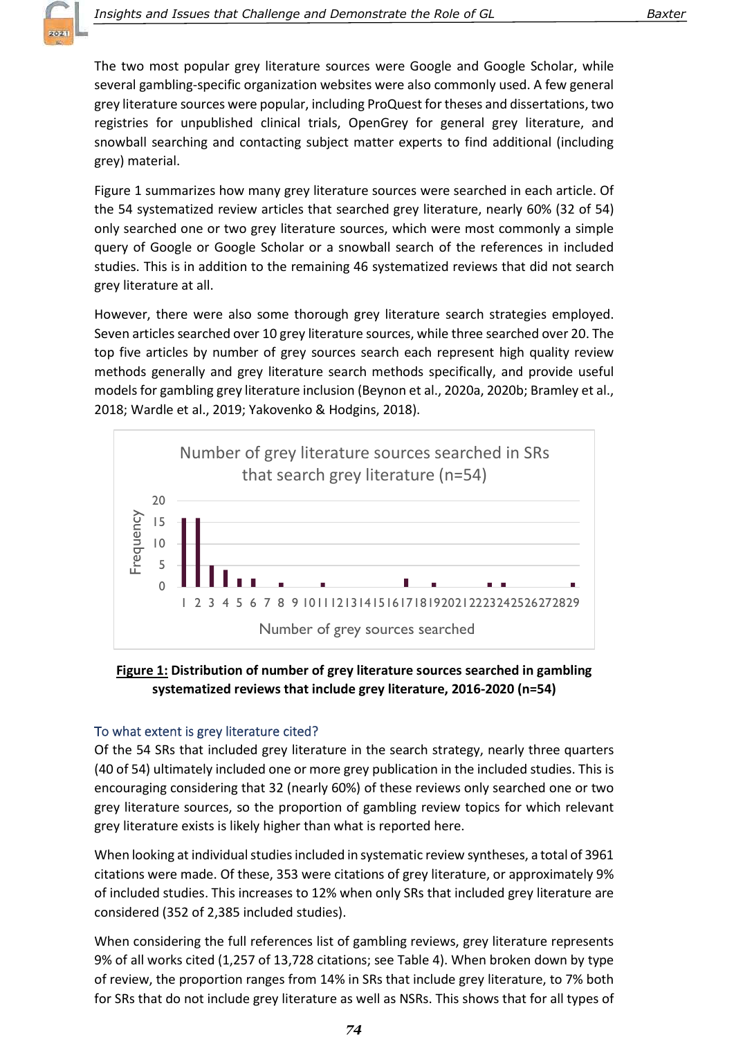The two most popular grey literature sources were Google and Google Scholar, while several gambling-specific organization websites were also commonly used. A few general grey literature sources were popular, including ProQuest for theses and dissertations, two registries for unpublished clinical trials, OpenGrey for general grey literature, and snowball searching and contacting subject matter experts to find additional (including grey) material.

Figure 1 summarizes how many grey literature sources were searched in each article. Of the 54 systematized review articles that searched grey literature, nearly 60% (32 of 54) only searched one or two grey literature sources, which were most commonly a simple query of Google or Google Scholar or a snowball search of the references in included studies. This is in addition to the remaining 46 systematized reviews that did not search grey literature at all.

However, there were also some thorough grey literature search strategies employed. Seven articles searched over 10 grey literature sources, while three searched over 20. The top five articles by number of grey sources search each represent high quality review methods generally and grey literature search methods specifically, and provide useful models for gambling grey literature inclusion (Beynon et al., 2020a, 2020b; Bramley et al., 2018; Wardle et al., 2019; Yakovenko & Hodgins, 2018).



# Figure 1: Distribution of number of grey literature sources searched in gambling systematized reviews that include grey literature, 2016-2020 (n=54)

# To what extent is grey literature cited?

Of the 54 SRs that included grey literature in the search strategy, nearly three quarters (40 of 54) ultimately included one or more grey publication in the included studies. This is encouraging considering that 32 (nearly 60%) of these reviews only searched one or two grey literature sources, so the proportion of gambling review topics for which relevant grey literature exists is likely higher than what is reported here.

When looking at individual studies included in systematic review syntheses, a total of 3961 citations were made. Of these, 353 were citations of grey literature, or approximately 9% of included studies. This increases to 12% when only SRs that included grey literature are considered (352 of 2,385 included studies).

When considering the full references list of gambling reviews, grey literature represents 9% of all works cited (1,257 of 13,728 citations; see Table 4). When broken down by type of review, the proportion ranges from 14% in SRs that include grey literature, to 7% both for SRs that do not include grey literature as well as NSRs. This shows that for all types of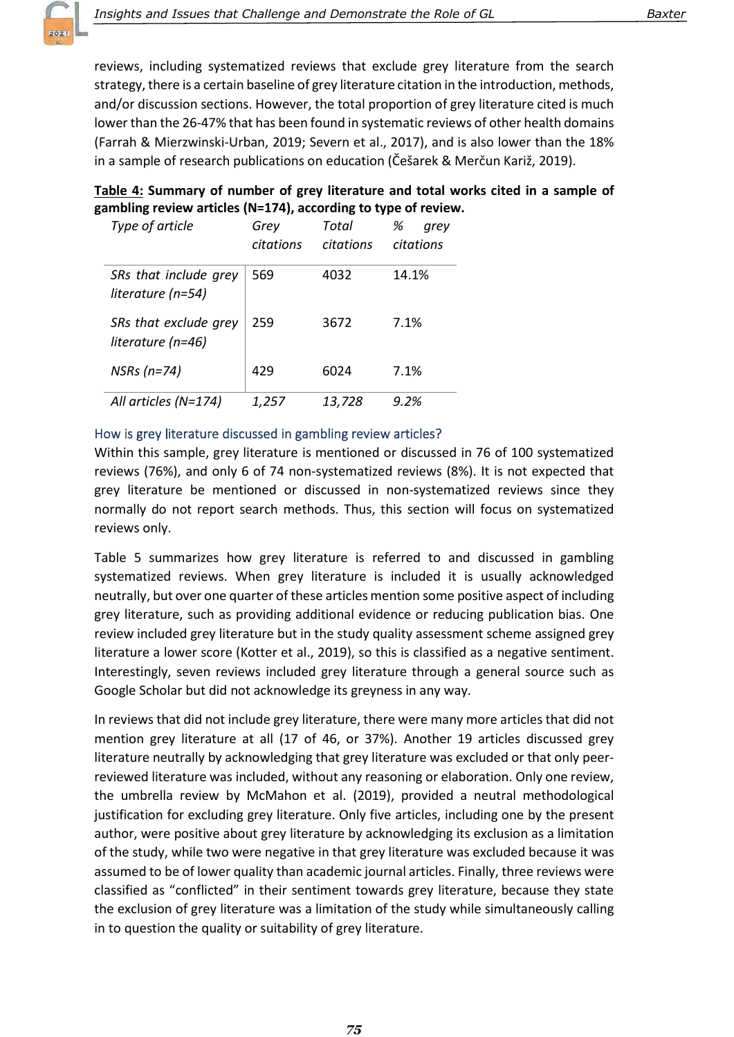reviews, including systematized reviews that exclude grey literature from the search strategy, there is a certain baseline of grey literature citation in the introduction, methods, and/or discussion sections. However, the total proportion of grey literature cited is much lower than the 26-47% that has been found in systematic reviews of other health domains (Farrah & Mierzwinski-Urban, 2019; Severn et al., 2017), and is also lower than the 18% in a sample of research publications on education (Češarek & Merčun Kariž, 2019).

| Table 4: Summary of number of grey literature and total works cited in a sample of |  |  |
|------------------------------------------------------------------------------------|--|--|
| gambling review articles (N=174), according to type of review.                     |  |  |

| Type of article                            | Grey<br>citations | Total<br>citations | %<br>arev<br>citations |
|--------------------------------------------|-------------------|--------------------|------------------------|
| SRs that include grey<br>literature (n=54) | 569               | 4032               | 14.1%                  |
| SRs that exclude grey<br>literature (n=46) | 259               | 3672               | 7.1%                   |
| $NSRs(n=74)$                               | 429               | 6024               | 7.1%                   |
| All articles $(N=174)$                     | 1,257             | 13,728             | 9.2%                   |

### How is grey literature discussed in gambling review articles?

Within this sample, grey literature is mentioned or discussed in 76 of 100 systematized reviews (76%), and only 6 of 74 non-systematized reviews (8%). It is not expected that grey literature be mentioned or discussed in non-systematized reviews since they normally do not report search methods. Thus, this section will focus on systematized reviews only.

Table 5 summarizes how grey literature is referred to and discussed in gambling systematized reviews. When grey literature is included it is usually acknowledged neutrally, but over one quarter of these articles mention some positive aspect of including grey literature, such as providing additional evidence or reducing publication bias. One review included grey literature but in the study quality assessment scheme assigned grey literature a lower score (Kotter et al., 2019), so this is classified as a negative sentiment. Interestingly, seven reviews included grey literature through a general source such as Google Scholar but did not acknowledge its greyness in any way.

In reviews that did not include grey literature, there were many more articles that did not mention grey literature at all (17 of 46, or 37%). Another 19 articles discussed grey literature neutrally by acknowledging that grey literature was excluded or that only peerreviewed literature was included, without any reasoning or elaboration. Only one review, the umbrella review by McMahon et al. (2019), provided a neutral methodological justification for excluding grey literature. Only five articles, including one by the present author, were positive about grey literature by acknowledging its exclusion as a limitation of the study, while two were negative in that grey literature was excluded because it was assumed to be of lower quality than academic journal articles. Finally, three reviews were classified as "conflicted" in their sentiment towards grey literature, because they state the exclusion of grey literature was a limitation of the study while simultaneously calling in to question the quality or suitability of grey literature.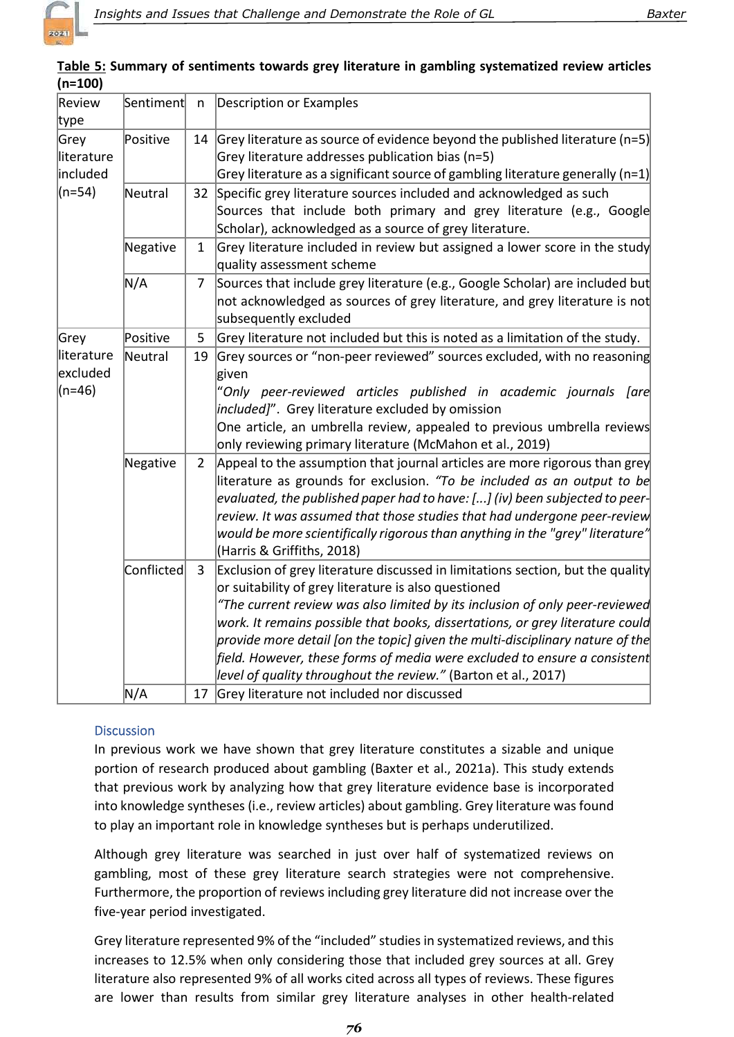| Table 5: Summary of sentiments towards grey literature in gambling systematized review articles |  |  |
|-------------------------------------------------------------------------------------------------|--|--|
| $(n=100)$                                                                                       |  |  |

| Review<br>type                   | Sentiment  | n              | Description or Examples                                                                                                                                                                                                                                                                                                                                                                                                                                                                                                                                 |
|----------------------------------|------------|----------------|---------------------------------------------------------------------------------------------------------------------------------------------------------------------------------------------------------------------------------------------------------------------------------------------------------------------------------------------------------------------------------------------------------------------------------------------------------------------------------------------------------------------------------------------------------|
| Grey<br>literature<br>included   | Positive   | 14             | Grey literature as source of evidence beyond the published literature ( $n=5$ )<br>Grey literature addresses publication bias (n=5)<br>Grey literature as a significant source of gambling literature generally (n=1)                                                                                                                                                                                                                                                                                                                                   |
| (n=54)                           | Neutral    | 32             | Specific grey literature sources included and acknowledged as such<br>Sources that include both primary and grey literature (e.g., Google<br>Scholar), acknowledged as a source of grey literature.                                                                                                                                                                                                                                                                                                                                                     |
|                                  | Negative   | $\mathbf{1}$   | Grey literature included in review but assigned a lower score in the study<br>quality assessment scheme                                                                                                                                                                                                                                                                                                                                                                                                                                                 |
|                                  | N/A        | 7              | Sources that include grey literature (e.g., Google Scholar) are included but<br>not acknowledged as sources of grey literature, and grey literature is not<br>subsequently excluded                                                                                                                                                                                                                                                                                                                                                                     |
| Grey                             | Positive   | 5              | Grey literature not included but this is noted as a limitation of the study.                                                                                                                                                                                                                                                                                                                                                                                                                                                                            |
| literature<br>excluded<br>(n=46) | Neutral    | 19             | Grey sources or "non-peer reviewed" sources excluded, with no reasoning<br>given<br>"Only peer-reviewed articles published in academic journals [are<br><i>included]"</i> . Grey literature excluded by omission<br>One article, an umbrella review, appealed to previous umbrella reviews<br>only reviewing primary literature (McMahon et al., 2019)                                                                                                                                                                                                  |
|                                  | Negative   | 2              | Appeal to the assumption that journal articles are more rigorous than grey<br>literature as grounds for exclusion. "To be included as an output to be<br>evaluated, the published paper had to have: [] (iv) been subjected to peer-<br>$ $ review. It was assumed that those studies that had undergone peer-review $ $<br>would be more scientifically rigorous than anything in the "grey" literature" $\mid$<br>(Harris & Griffiths, 2018)                                                                                                          |
|                                  | Conflicted | $\overline{3}$ | Exclusion of grey literature discussed in limitations section, but the quality<br>or suitability of grey literature is also questioned<br>"The current review was also limited by its inclusion of only peer-reviewed<br>work. It remains possible that books, dissertations, or grey literature could<br>$ $ provide more detail [on the topic] given the multi-disciplinary nature of the<br>$ \textit{field. However, these forms of media were excluded to ensure a consistent} $<br>level of quality throughout the review." (Barton et al., 2017) |
|                                  | N/A        |                | 17 Grey literature not included nor discussed                                                                                                                                                                                                                                                                                                                                                                                                                                                                                                           |

# **Discussion**

In previous work we have shown that grey literature constitutes a sizable and unique portion of research produced about gambling (Baxter et al., 2021a). This study extends that previous work by analyzing how that grey literature evidence base is incorporated into knowledge syntheses (i.e., review articles) about gambling. Grey literature was found to play an important role in knowledge syntheses but is perhaps underutilized.

Although grey literature was searched in just over half of systematized reviews on gambling, most of these grey literature search strategies were not comprehensive. Furthermore, the proportion of reviews including grey literature did not increase over the five-year period investigated.

Grey literature represented 9% of the "included" studies in systematized reviews, and this increases to 12.5% when only considering those that included grey sources at all. Grey literature also represented 9% of all works cited across all types of reviews. These figures are lower than results from similar grey literature analyses in other health-related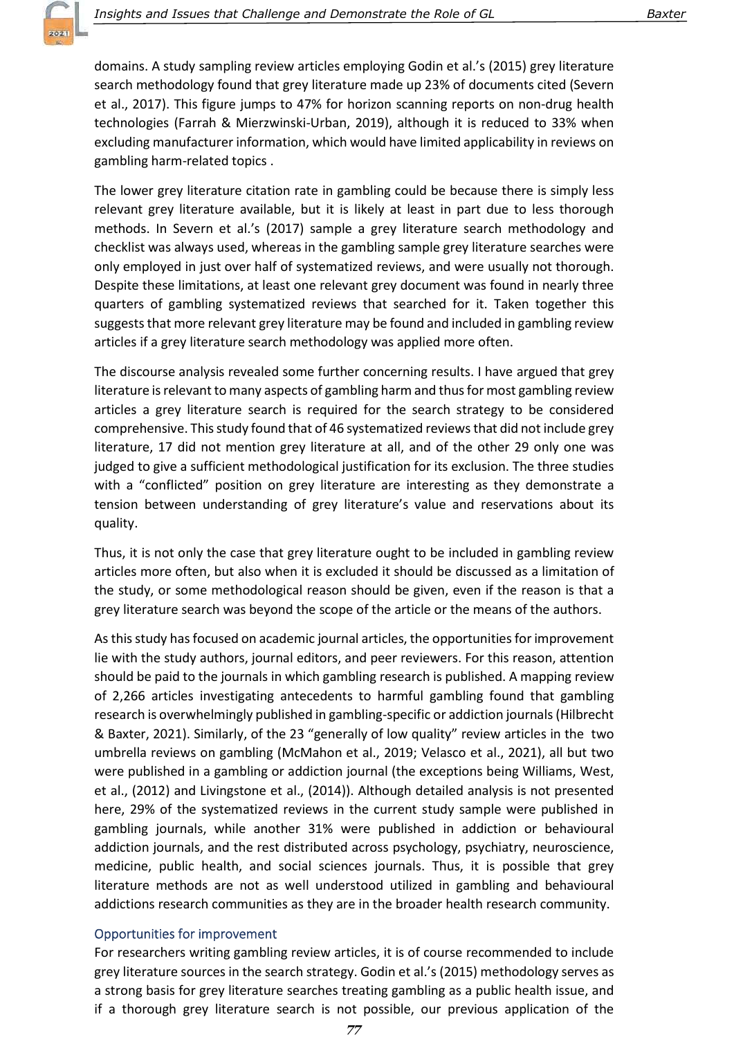domains. A study sampling review articles employing Godin et al.'s (2015) grey literature search methodology found that grey literature made up 23% of documents cited (Severn et al., 2017). This figure jumps to 47% for horizon scanning reports on non-drug health technologies (Farrah & Mierzwinski-Urban, 2019), although it is reduced to 33% when excluding manufacturer information, which would have limited applicability in reviews on gambling harm-related topics .

The lower grey literature citation rate in gambling could be because there is simply less relevant grey literature available, but it is likely at least in part due to less thorough methods. In Severn et al.'s (2017) sample a grey literature search methodology and checklist was always used, whereas in the gambling sample grey literature searches were only employed in just over half of systematized reviews, and were usually not thorough. Despite these limitations, at least one relevant grey document was found in nearly three quarters of gambling systematized reviews that searched for it. Taken together this suggests that more relevant grey literature may be found and included in gambling review articles if a grey literature search methodology was applied more often.

The discourse analysis revealed some further concerning results. I have argued that grey literature is relevant to many aspects of gambling harm and thus for most gambling review articles a grey literature search is required for the search strategy to be considered comprehensive. This study found that of 46 systematized reviews that did not include grey literature, 17 did not mention grey literature at all, and of the other 29 only one was judged to give a sufficient methodological justification for its exclusion. The three studies with a "conflicted" position on grey literature are interesting as they demonstrate a tension between understanding of grey literature's value and reservations about its quality.

Thus, it is not only the case that grey literature ought to be included in gambling review articles more often, but also when it is excluded it should be discussed as a limitation of the study, or some methodological reason should be given, even if the reason is that a grey literature search was beyond the scope of the article or the means of the authors.

As this study has focused on academic journal articles, the opportunities for improvement lie with the study authors, journal editors, and peer reviewers. For this reason, attention should be paid to the journals in which gambling research is published. A mapping review of 2,266 articles investigating antecedents to harmful gambling found that gambling research is overwhelmingly published in gambling-specific or addiction journals (Hilbrecht & Baxter, 2021). Similarly, of the 23 "generally of low quality" review articles in the two umbrella reviews on gambling (McMahon et al., 2019; Velasco et al., 2021), all but two were published in a gambling or addiction journal (the exceptions being Williams, West, et al., (2012) and Livingstone et al., (2014)). Although detailed analysis is not presented here, 29% of the systematized reviews in the current study sample were published in gambling journals, while another 31% were published in addiction or behavioural addiction journals, and the rest distributed across psychology, psychiatry, neuroscience, medicine, public health, and social sciences journals. Thus, it is possible that grey literature methods are not as well understood utilized in gambling and behavioural addictions research communities as they are in the broader health research community.

#### Opportunities for improvement

For researchers writing gambling review articles, it is of course recommended to include grey literature sources in the search strategy. Godin et al.'s (2015) methodology serves as a strong basis for grey literature searches treating gambling as a public health issue, and if a thorough grey literature search is not possible, our previous application of the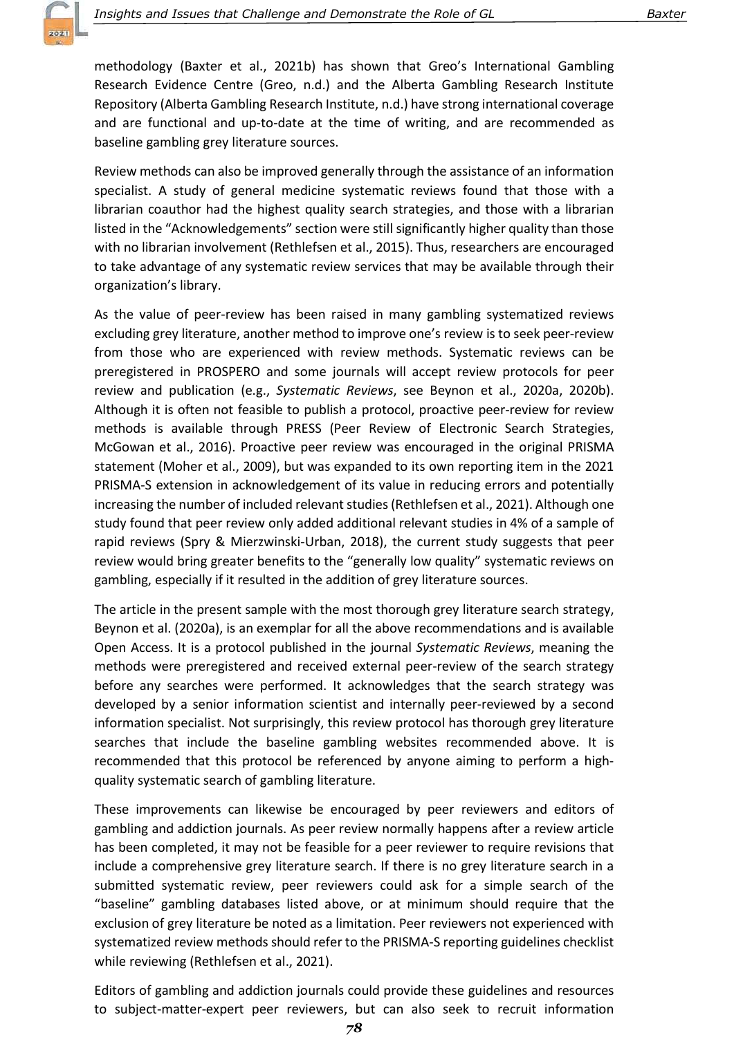methodology (Baxter et al., 2021b) has shown that Greo's International Gambling Research Evidence Centre (Greo, n.d.) and the Alberta Gambling Research Institute Repository (Alberta Gambling Research Institute, n.d.) have strong international coverage and are functional and up-to-date at the time of writing, and are recommended as baseline gambling grey literature sources.

Review methods can also be improved generally through the assistance of an information specialist. A study of general medicine systematic reviews found that those with a librarian coauthor had the highest quality search strategies, and those with a librarian listed in the "Acknowledgements" section were still significantly higher quality than those with no librarian involvement (Rethlefsen et al., 2015). Thus, researchers are encouraged to take advantage of any systematic review services that may be available through their organization's library.

As the value of peer-review has been raised in many gambling systematized reviews excluding grey literature, another method to improve one's review is to seek peer-review from those who are experienced with review methods. Systematic reviews can be preregistered in PROSPERO and some journals will accept review protocols for peer review and publication (e.g., Systematic Reviews, see Beynon et al., 2020a, 2020b). Although it is often not feasible to publish a protocol, proactive peer-review for review methods is available through PRESS (Peer Review of Electronic Search Strategies, McGowan et al., 2016). Proactive peer review was encouraged in the original PRISMA statement (Moher et al., 2009), but was expanded to its own reporting item in the 2021 PRISMA-S extension in acknowledgement of its value in reducing errors and potentially increasing the number of included relevant studies (Rethlefsen et al., 2021). Although one study found that peer review only added additional relevant studies in 4% of a sample of rapid reviews (Spry & Mierzwinski-Urban, 2018), the current study suggests that peer review would bring greater benefits to the "generally low quality" systematic reviews on gambling, especially if it resulted in the addition of grey literature sources.

The article in the present sample with the most thorough grey literature search strategy, Beynon et al. (2020a), is an exemplar for all the above recommendations and is available Open Access. It is a protocol published in the journal Systematic Reviews, meaning the methods were preregistered and received external peer-review of the search strategy before any searches were performed. It acknowledges that the search strategy was developed by a senior information scientist and internally peer-reviewed by a second information specialist. Not surprisingly, this review protocol has thorough grey literature searches that include the baseline gambling websites recommended above. It is recommended that this protocol be referenced by anyone aiming to perform a highquality systematic search of gambling literature.

These improvements can likewise be encouraged by peer reviewers and editors of gambling and addiction journals. As peer review normally happens after a review article has been completed, it may not be feasible for a peer reviewer to require revisions that include a comprehensive grey literature search. If there is no grey literature search in a submitted systematic review, peer reviewers could ask for a simple search of the "baseline" gambling databases listed above, or at minimum should require that the exclusion of grey literature be noted as a limitation. Peer reviewers not experienced with systematized review methods should refer to the PRISMA-S reporting guidelines checklist while reviewing (Rethlefsen et al., 2021).

Editors of gambling and addiction journals could provide these guidelines and resources to subject-matter-expert peer reviewers, but can also seek to recruit information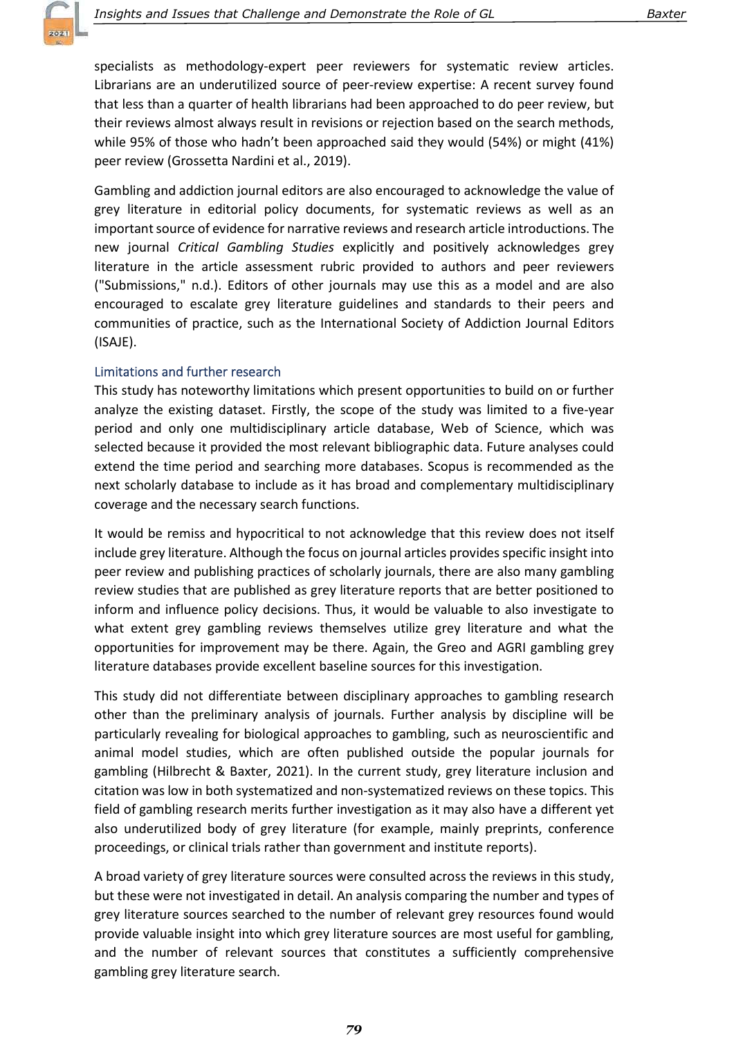specialists as methodology-expert peer reviewers for systematic review articles. Librarians are an underutilized source of peer-review expertise: A recent survey found that less than a quarter of health librarians had been approached to do peer review, but their reviews almost always result in revisions or rejection based on the search methods, while 95% of those who hadn't been approached said they would (54%) or might (41%) peer review (Grossetta Nardini et al., 2019).

Gambling and addiction journal editors are also encouraged to acknowledge the value of grey literature in editorial policy documents, for systematic reviews as well as an important source of evidence for narrative reviews and research article introductions. The new journal Critical Gambling Studies explicitly and positively acknowledges grey literature in the article assessment rubric provided to authors and peer reviewers ("Submissions," n.d.). Editors of other journals may use this as a model and are also encouraged to escalate grey literature guidelines and standards to their peers and communities of practice, such as the International Society of Addiction Journal Editors (ISAJE).

#### Limitations and further research

This study has noteworthy limitations which present opportunities to build on or further analyze the existing dataset. Firstly, the scope of the study was limited to a five-year period and only one multidisciplinary article database, Web of Science, which was selected because it provided the most relevant bibliographic data. Future analyses could extend the time period and searching more databases. Scopus is recommended as the next scholarly database to include as it has broad and complementary multidisciplinary coverage and the necessary search functions.

It would be remiss and hypocritical to not acknowledge that this review does not itself include grey literature. Although the focus on journal articles provides specific insight into peer review and publishing practices of scholarly journals, there are also many gambling review studies that are published as grey literature reports that are better positioned to inform and influence policy decisions. Thus, it would be valuable to also investigate to what extent grey gambling reviews themselves utilize grey literature and what the opportunities for improvement may be there. Again, the Greo and AGRI gambling grey literature databases provide excellent baseline sources for this investigation.

This study did not differentiate between disciplinary approaches to gambling research other than the preliminary analysis of journals. Further analysis by discipline will be particularly revealing for biological approaches to gambling, such as neuroscientific and animal model studies, which are often published outside the popular journals for gambling (Hilbrecht & Baxter, 2021). In the current study, grey literature inclusion and citation was low in both systematized and non-systematized reviews on these topics. This field of gambling research merits further investigation as it may also have a different yet also underutilized body of grey literature (for example, mainly preprints, conference proceedings, or clinical trials rather than government and institute reports).

A broad variety of grey literature sources were consulted across the reviews in this study, but these were not investigated in detail. An analysis comparing the number and types of grey literature sources searched to the number of relevant grey resources found would provide valuable insight into which grey literature sources are most useful for gambling, and the number of relevant sources that constitutes a sufficiently comprehensive gambling grey literature search.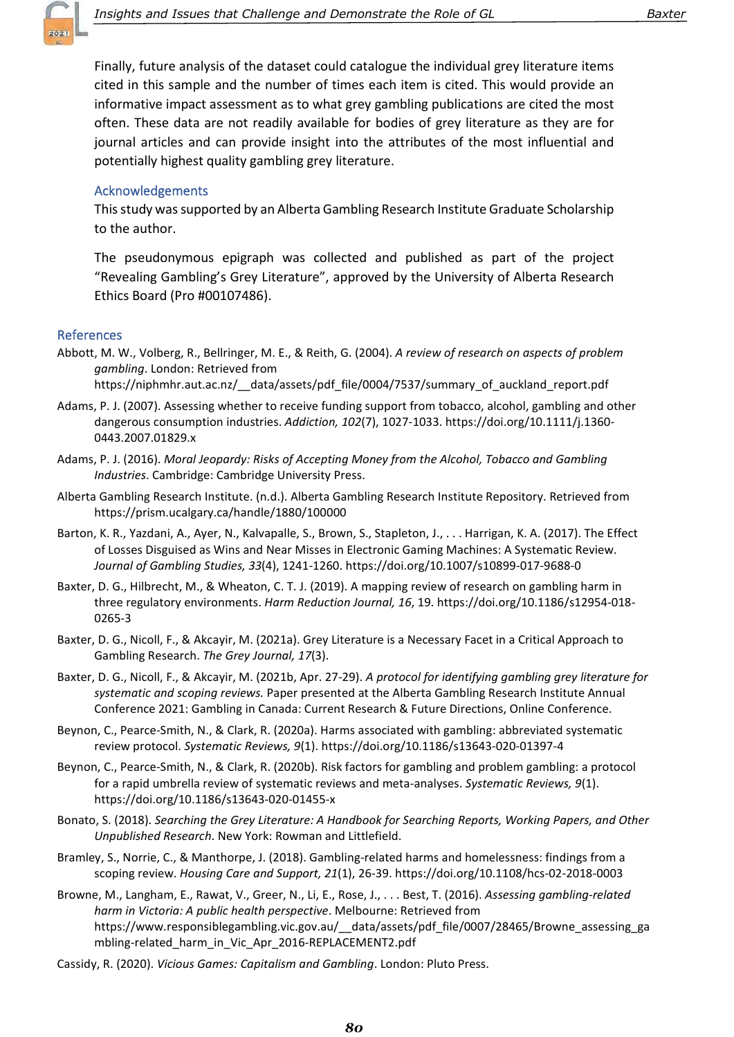

Finally, future analysis of the dataset could catalogue the individual grey literature items cited in this sample and the number of times each item is cited. This would provide an informative impact assessment as to what grey gambling publications are cited the most often. These data are not readily available for bodies of grey literature as they are for journal articles and can provide insight into the attributes of the most influential and potentially highest quality gambling grey literature.

#### **Acknowledgements**

This study was supported by an Alberta Gambling Research Institute Graduate Scholarship to the author.

The pseudonymous epigraph was collected and published as part of the project "Revealing Gambling's Grey Literature", approved by the University of Alberta Research Ethics Board (Pro #00107486).

#### **References**

Abbott, M. W., Volberg, R., Bellringer, M. E., & Reith, G. (2004). A review of research on aspects of problem gambling. London: Retrieved from

https://niphmhr.aut.ac.nz/\_\_data/assets/pdf\_file/0004/7537/summary\_of\_auckland\_report.pdf

- Adams, P. J. (2007). Assessing whether to receive funding support from tobacco, alcohol, gambling and other dangerous consumption industries. Addiction, 102(7), 1027-1033. https://doi.org/10.1111/j.1360- 0443.2007.01829.x
- Adams, P. J. (2016). Moral Jeopardy: Risks of Accepting Money from the Alcohol, Tobacco and Gambling Industries. Cambridge: Cambridge University Press.
- Alberta Gambling Research Institute. (n.d.). Alberta Gambling Research Institute Repository. Retrieved from https://prism.ucalgary.ca/handle/1880/100000
- Barton, K. R., Yazdani, A., Ayer, N., Kalvapalle, S., Brown, S., Stapleton, J., . . . Harrigan, K. A. (2017). The Effect of Losses Disguised as Wins and Near Misses in Electronic Gaming Machines: A Systematic Review. Journal of Gambling Studies, 33(4), 1241-1260. https://doi.org/10.1007/s10899-017-9688-0
- Baxter, D. G., Hilbrecht, M., & Wheaton, C. T. J. (2019). A mapping review of research on gambling harm in three regulatory environments. Harm Reduction Journal, 16, 19. https://doi.org/10.1186/s12954-018- 0265-3
- Baxter, D. G., Nicoll, F., & Akcayir, M. (2021a). Grey Literature is a Necessary Facet in a Critical Approach to Gambling Research. The Grey Journal, 17(3).
- Baxter, D. G., Nicoll, F., & Akcayir, M. (2021b, Apr. 27-29). A protocol for identifying gambling grey literature for systematic and scoping reviews. Paper presented at the Alberta Gambling Research Institute Annual Conference 2021: Gambling in Canada: Current Research & Future Directions, Online Conference.
- Beynon, C., Pearce-Smith, N., & Clark, R. (2020a). Harms associated with gambling: abbreviated systematic review protocol. Systematic Reviews, 9(1). https://doi.org/10.1186/s13643-020-01397-4
- Beynon, C., Pearce-Smith, N., & Clark, R. (2020b). Risk factors for gambling and problem gambling: a protocol for a rapid umbrella review of systematic reviews and meta-analyses. Systematic Reviews, 9(1). https://doi.org/10.1186/s13643-020-01455-x
- Bonato, S. (2018). Searching the Grey Literature: A Handbook for Searching Reports, Working Papers, and Other Unpublished Research. New York: Rowman and Littlefield.
- Bramley, S., Norrie, C., & Manthorpe, J. (2018). Gambling-related harms and homelessness: findings from a scoping review. Housing Care and Support, 21(1), 26-39. https://doi.org/10.1108/hcs-02-2018-0003
- Browne, M., Langham, E., Rawat, V., Greer, N., Li, E., Rose, J., . . . Best, T. (2016). Assessing gambling-related harm in Victoria: A public health perspective. Melbourne: Retrieved from https://www.responsiblegambling.vic.gov.au/\_\_data/assets/pdf\_file/0007/28465/Browne\_assessing\_ga mbling-related\_harm\_in\_Vic\_Apr\_2016-REPLACEMENT2.pdf
- Cassidy, R. (2020). Vicious Games: Capitalism and Gambling. London: Pluto Press.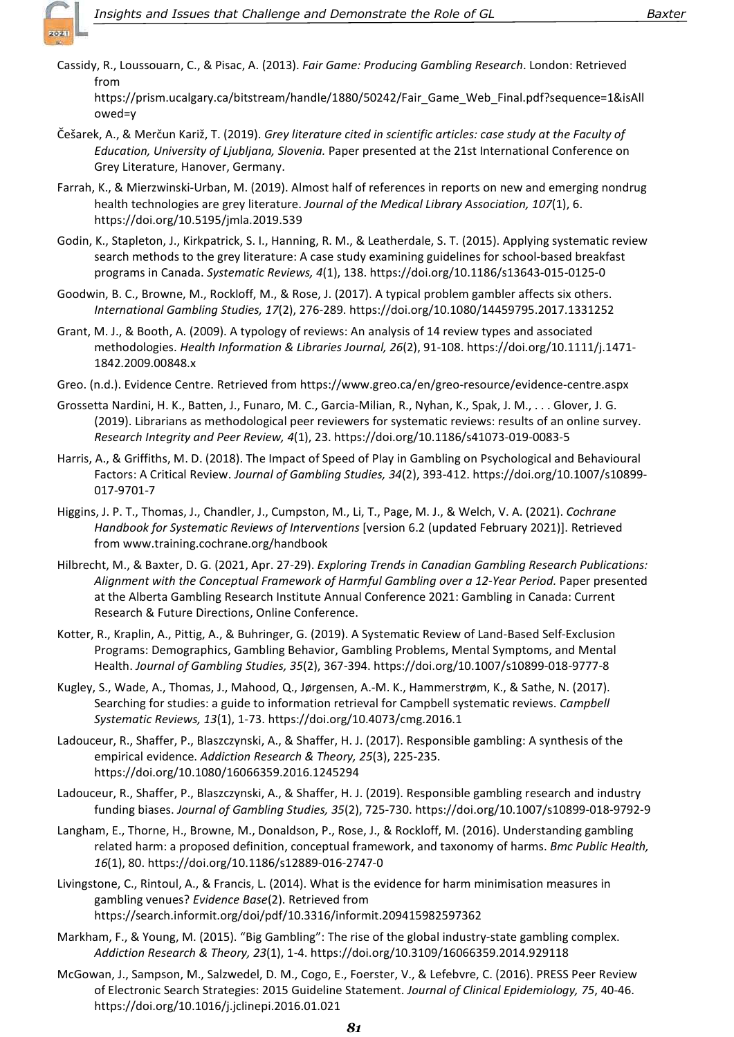

Cassidy, R., Loussouarn, C., & Pisac, A. (2013). Fair Game: Producing Gambling Research. London: Retrieved from

https://prism.ucalgary.ca/bitstream/handle/1880/50242/Fair\_Game\_Web\_Final.pdf?sequence=1&isAll owed=y

- Češarek, A., & Merčun Kariž, T. (2019). Grey literature cited in scientific articles: case study at the Faculty of Education, University of Ljubljana, Slovenia. Paper presented at the 21st International Conference on Grey Literature, Hanover, Germany.
- Farrah, K., & Mierzwinski-Urban, M. (2019). Almost half of references in reports on new and emerging nondrug health technologies are grey literature. Journal of the Medical Library Association, 107(1), 6. https://doi.org/10.5195/jmla.2019.539
- Godin, K., Stapleton, J., Kirkpatrick, S. I., Hanning, R. M., & Leatherdale, S. T. (2015). Applying systematic review search methods to the grey literature: A case study examining guidelines for school-based breakfast programs in Canada. Systematic Reviews, 4(1), 138. https://doi.org/10.1186/s13643-015-0125-0
- Goodwin, B. C., Browne, M., Rockloff, M., & Rose, J. (2017). A typical problem gambler affects six others. International Gambling Studies, 17(2), 276-289. https://doi.org/10.1080/14459795.2017.1331252
- Grant, M. J., & Booth, A. (2009). A typology of reviews: An analysis of 14 review types and associated methodologies. Health Information & Libraries Journal, 26(2), 91-108. https://doi.org/10.1111/j.1471- 1842.2009.00848.x
- Greo. (n.d.). Evidence Centre. Retrieved from https://www.greo.ca/en/greo-resource/evidence-centre.aspx
- Grossetta Nardini, H. K., Batten, J., Funaro, M. C., Garcia-Milian, R., Nyhan, K., Spak, J. M., . . . Glover, J. G. (2019). Librarians as methodological peer reviewers for systematic reviews: results of an online survey. Research Integrity and Peer Review, 4(1), 23. https://doi.org/10.1186/s41073-019-0083-5
- Harris, A., & Griffiths, M. D. (2018). The Impact of Speed of Play in Gambling on Psychological and Behavioural Factors: A Critical Review. Journal of Gambling Studies, 34(2), 393-412. https://doi.org/10.1007/s10899- 017-9701-7
- Higgins, J. P. T., Thomas, J., Chandler, J., Cumpston, M., Li, T., Page, M. J., & Welch, V. A. (2021). Cochrane Handbook for Systematic Reviews of Interventions [version 6.2 (updated February 2021)]. Retrieved from www.training.cochrane.org/handbook
- Hilbrecht, M., & Baxter, D. G. (2021, Apr. 27-29). Exploring Trends in Canadian Gambling Research Publications: Alignment with the Conceptual Framework of Harmful Gambling over a 12-Year Period. Paper presented at the Alberta Gambling Research Institute Annual Conference 2021: Gambling in Canada: Current Research & Future Directions, Online Conference.
- Kotter, R., Kraplin, A., Pittig, A., & Buhringer, G. (2019). A Systematic Review of Land-Based Self-Exclusion Programs: Demographics, Gambling Behavior, Gambling Problems, Mental Symptoms, and Mental Health. Journal of Gambling Studies, 35(2), 367-394. https://doi.org/10.1007/s10899-018-9777-8
- Kugley, S., Wade, A., Thomas, J., Mahood, Q., Jørgensen, A.-M. K., Hammerstrøm, K., & Sathe, N. (2017). Searching for studies: a guide to information retrieval for Campbell systematic reviews. Campbell Systematic Reviews, 13(1), 1-73. https://doi.org/10.4073/cmg.2016.1
- Ladouceur, R., Shaffer, P., Blaszczynski, A., & Shaffer, H. J. (2017). Responsible gambling: A synthesis of the empirical evidence. Addiction Research & Theory, 25(3), 225-235. https://doi.org/10.1080/16066359.2016.1245294
- Ladouceur, R., Shaffer, P., Blaszczynski, A., & Shaffer, H. J. (2019). Responsible gambling research and industry funding biases. Journal of Gambling Studies, 35(2), 725-730. https://doi.org/10.1007/s10899-018-9792-9
- Langham, E., Thorne, H., Browne, M., Donaldson, P., Rose, J., & Rockloff, M. (2016). Understanding gambling related harm: a proposed definition, conceptual framework, and taxonomy of harms. Bmc Public Health, 16(1), 80. https://doi.org/10.1186/s12889-016-2747-0
- Livingstone, C., Rintoul, A., & Francis, L. (2014). What is the evidence for harm minimisation measures in gambling venues? Evidence Base(2). Retrieved from https://search.informit.org/doi/pdf/10.3316/informit.209415982597362
- Markham, F., & Young, M. (2015). "Big Gambling": The rise of the global industry-state gambling complex. Addiction Research & Theory, 23(1), 1-4. https://doi.org/10.3109/16066359.2014.929118
- McGowan, J., Sampson, M., Salzwedel, D. M., Cogo, E., Foerster, V., & Lefebvre, C. (2016). PRESS Peer Review of Electronic Search Strategies: 2015 Guideline Statement. Journal of Clinical Epidemiology, 75, 40-46. https://doi.org/10.1016/j.jclinepi.2016.01.021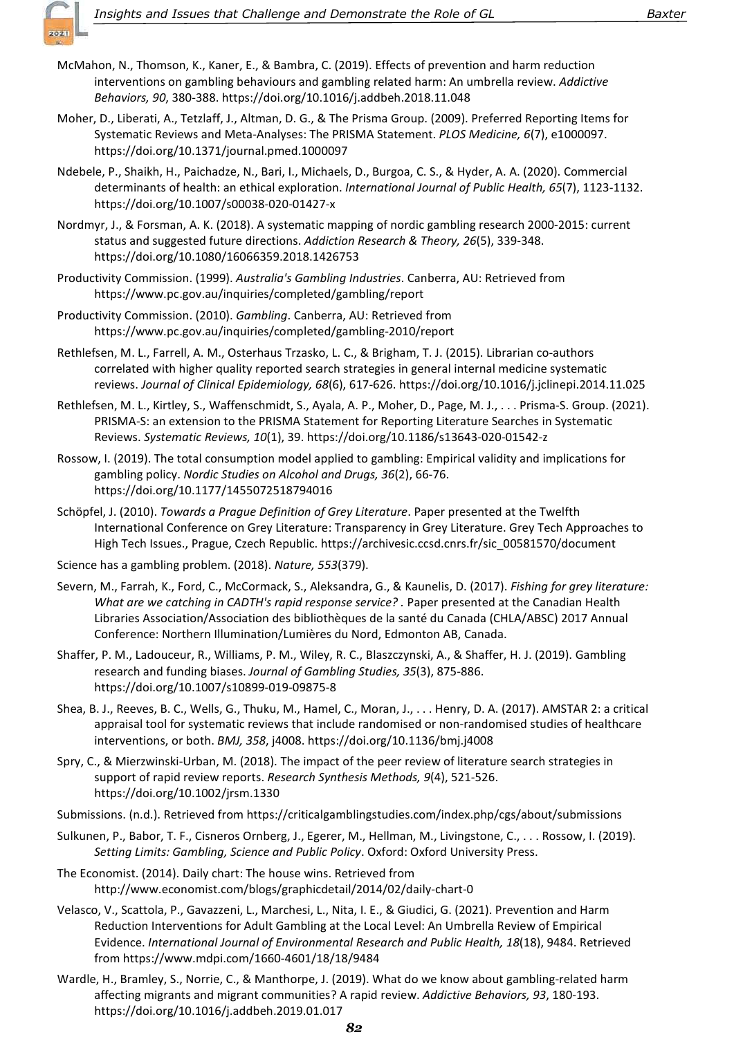

- McMahon, N., Thomson, K., Kaner, E., & Bambra, C. (2019). Effects of prevention and harm reduction interventions on gambling behaviours and gambling related harm: An umbrella review. Addictive Behaviors, 90, 380-388. https://doi.org/10.1016/j.addbeh.2018.11.048
- Moher, D., Liberati, A., Tetzlaff, J., Altman, D. G., & The Prisma Group. (2009). Preferred Reporting Items for Systematic Reviews and Meta-Analyses: The PRISMA Statement. PLOS Medicine, 6(7), e1000097. https://doi.org/10.1371/journal.pmed.1000097
- Ndebele, P., Shaikh, H., Paichadze, N., Bari, I., Michaels, D., Burgoa, C. S., & Hyder, A. A. (2020). Commercial determinants of health: an ethical exploration. International Journal of Public Health, 65(7), 1123-1132. https://doi.org/10.1007/s00038-020-01427-x
- Nordmyr, J., & Forsman, A. K. (2018). A systematic mapping of nordic gambling research 2000-2015: current status and suggested future directions. Addiction Research & Theory, 26(5), 339-348. https://doi.org/10.1080/16066359.2018.1426753
- Productivity Commission. (1999). Australia's Gambling Industries. Canberra, AU: Retrieved from https://www.pc.gov.au/inquiries/completed/gambling/report
- Productivity Commission. (2010). Gambling. Canberra, AU: Retrieved from https://www.pc.gov.au/inquiries/completed/gambling-2010/report
- Rethlefsen, M. L., Farrell, A. M., Osterhaus Trzasko, L. C., & Brigham, T. J. (2015). Librarian co-authors correlated with higher quality reported search strategies in general internal medicine systematic reviews. Journal of Clinical Epidemiology, 68(6), 617-626. https://doi.org/10.1016/j.jclinepi.2014.11.025
- Rethlefsen, M. L., Kirtley, S., Waffenschmidt, S., Ayala, A. P., Moher, D., Page, M. J., . . . Prisma-S. Group. (2021). PRISMA-S: an extension to the PRISMA Statement for Reporting Literature Searches in Systematic Reviews. Systematic Reviews, 10(1), 39. https://doi.org/10.1186/s13643-020-01542-z
- Rossow, I. (2019). The total consumption model applied to gambling: Empirical validity and implications for gambling policy. Nordic Studies on Alcohol and Drugs, 36(2), 66-76. https://doi.org/10.1177/1455072518794016
- Schöpfel, J. (2010). Towards a Prague Definition of Grey Literature. Paper presented at the Twelfth International Conference on Grey Literature: Transparency in Grey Literature. Grey Tech Approaches to High Tech Issues., Prague, Czech Republic. https://archivesic.ccsd.cnrs.fr/sic\_00581570/document
- Science has a gambling problem. (2018). Nature, 553(379).
- Severn, M., Farrah, K., Ford, C., McCormack, S., Aleksandra, G., & Kaunelis, D. (2017). Fishing for grey literature: What are we catching in CADTH's rapid response service? . Paper presented at the Canadian Health Libraries Association/Association des bibliothèques de la santé du Canada (CHLA/ABSC) 2017 Annual Conference: Northern Illumination/Lumières du Nord, Edmonton AB, Canada.
- Shaffer, P. M., Ladouceur, R., Williams, P. M., Wiley, R. C., Blaszczynski, A., & Shaffer, H. J. (2019). Gambling research and funding biases. Journal of Gambling Studies, 35(3), 875-886. https://doi.org/10.1007/s10899-019-09875-8
- Shea, B. J., Reeves, B. C., Wells, G., Thuku, M., Hamel, C., Moran, J., . . . Henry, D. A. (2017). AMSTAR 2: a critical appraisal tool for systematic reviews that include randomised or non-randomised studies of healthcare interventions, or both. BMJ, 358, j4008. https://doi.org/10.1136/bmj.j4008
- Spry, C., & Mierzwinski-Urban, M. (2018). The impact of the peer review of literature search strategies in support of rapid review reports. Research Synthesis Methods, 9(4), 521-526. https://doi.org/10.1002/jrsm.1330
- Submissions. (n.d.). Retrieved from https://criticalgamblingstudies.com/index.php/cgs/about/submissions
- Sulkunen, P., Babor, T. F., Cisneros Ornberg, J., Egerer, M., Hellman, M., Livingstone, C., . . . Rossow, I. (2019). Setting Limits: Gambling, Science and Public Policy. Oxford: Oxford University Press.
- The Economist. (2014). Daily chart: The house wins. Retrieved from http://www.economist.com/blogs/graphicdetail/2014/02/daily-chart-0
- Velasco, V., Scattola, P., Gavazzeni, L., Marchesi, L., Nita, I. E., & Giudici, G. (2021). Prevention and Harm Reduction Interventions for Adult Gambling at the Local Level: An Umbrella Review of Empirical Evidence. International Journal of Environmental Research and Public Health, 18(18), 9484. Retrieved from https://www.mdpi.com/1660-4601/18/18/9484
- Wardle, H., Bramley, S., Norrie, C., & Manthorpe, J. (2019). What do we know about gambling-related harm affecting migrants and migrant communities? A rapid review. Addictive Behaviors, 93, 180-193. https://doi.org/10.1016/j.addbeh.2019.01.017